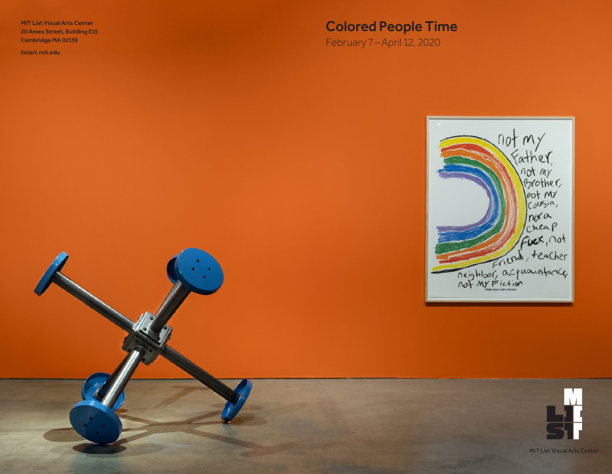MIT List Visual Arts Center 20 Ames Street, Building E15 Cambridge MA 02139

<listart.mit.edu>

# Colored People Time

February 7 –April 12, 2020



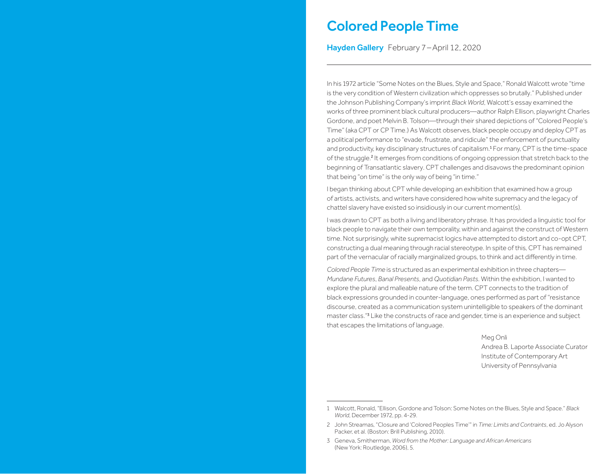## Colored People Time

Hayden Gallery February 7-April 12, 2020

In his 1972 article "Some Notes on the Blues, Style and Space," Ronald Walcott wrote "time is the very condition of Western civilization which oppresses so brutally." Published under the Johnson Publishing Company's imprint *Black World*, Walcott's essay examined the works of three prominent black cultural producers—author Ralph Ellison, playwright Charles Gordone, and poet Melvin B. Tolson—through their shared depictions of "Colored People's Time" (aka CPT or CP Time.) As Walcott observes, black people occupy and deploy CPT as a political performance to "evade, frustrate, and ridicule" the enforcement of punctuality and productivity, key disciplinary structures of capitalism.<sup>1</sup> For many, CPT is the time-space of the struggle.<sup>2</sup> It emerges from conditions of ongoing oppression that stretch back to the beginning of Transatlantic slavery. CPT challenges and disavows the predominant opinion that being "on time" is the only way of being "in time."

I began thinking about CPT while developing an exhibition that examined how a group of artists, activists, and writers have considered how white supremacy and the legacy of chattel slavery have existed so insidiously in our current moment(s).

I was drawn to CPT as both a living and liberatory phrase. It has provided a linguistic tool for black people to navigate their own temporality, within and against the construct of Western time. Not surprisingly, white supremacist logics have attempted to distort and co-opt CPT, constructing a dual meaning through racial stereotype. In spite of this, CPT has remained part of the vernacular of racially marginalized groups, to think and act differently in time.

*Colored People Time* is structured as an experimental exhibition in three chapters— *Mundane Futures*, *Banal Presents*, and *Quotidian Pasts*. Within the exhibition, I wanted to explore the plural and malleable nature of the term. CPT connects to the tradition of black expressions grounded in counter-language, ones performed as part of "resistance discourse, created as a communication system unintelligible to speakers of the dominant master class."<sup>3</sup> Like the constructs of race and gender, time is an experience and subject that escapes the limitations of language.

> Meg Onli Andrea B. Laporte Associate Curator Institute of Contemporary Art University of Pennsylvania

<sup>1</sup> Walcott, Ronald, "Ellison, Gordone and Tolson: Some Notes on the Blues, Style and Space." *Black World*, December 1972, pp. 4-29.

<sup>2</sup> John Streamas, "Closure and 'Colored Peoples Time'" in *Time: Limits and Contraints*, ed. Jo Alyson Packer, et al. (Boston: Brill Publishing, 2010).

<sup>3</sup> Geneva, Smitherman, *Word from the Mother: Language and African Americans* (New York: Routledge, 2006), 5.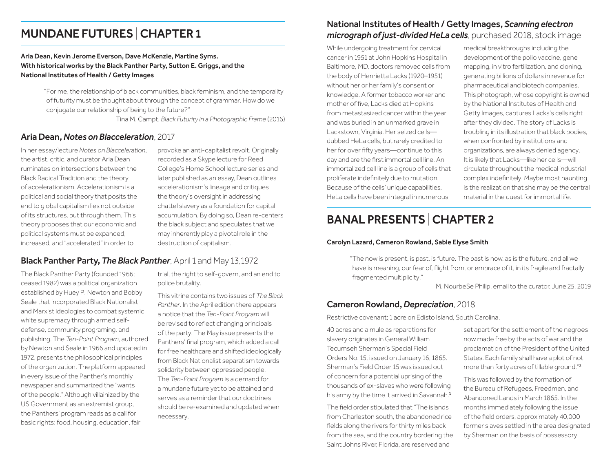## MUNDANE FUTURES | CHAPTER 1

### Aria Dean, Kevin Jerome Everson, Dave McKenzie, Martine Syms. With historical works by the Black Panther Party, Sutton E. Griggs, and the National Institutes of Health / Getty Images

"For me, the relationship of black communities, black feminism, and the temporality of futurity must be thought about through the concept of grammar. How do we conjugate our relationship of being to the future?"

Tina M. Campt, *Black Futurity in a Photographic Frame* (2016)

### Aria Dean, *Notes on Blacceleration*, 2017

In her essay/lecture *Notes on Blacceleration*, the artist, critic, and curator Aria Dean ruminates on intersections between the Black Radical Tradition and the theory of accelerationism. Accelerationism is a political and social theory that posits the end to global capitalism lies not outside of its structures, but through them. This theory proposes that our economic and political systems must be expanded, increased, and "accelerated" in order to

provoke an anti-capitalist revolt. Originally recorded as a Skype lecture for Reed College's Home School lecture series and later published as an essay, Dean outlines accelerationism's lineage and critiques the theory's oversight in addressing chattel slavery as a foundation for capital accumulation. By doing so, Dean re-centers the black subject and speculates that we may inherently play a pivotal role in the destruction of capitalism.

### Black Panther Party, *The Black Panther*, April 1 and May 13,1972

The Black Panther Party (founded 1966; ceased 1982) was a political organization established by Huey P. Newton and Bobby Seale that incorporated Black Nationalist and Marxist ideologies to combat systemic white supremacy through armed selfdefense, community programing, and publishing. The *Ten-Point Program*, authored by Newton and Seale in 1966 and updated in 1972, presents the philosophical principles of the organization. The platform appeared in every issue of the Panther's monthly newspaper and summarized the "wants of the people." Although villainized by the US Government as an extremist group, the Panthers' program reads as a call for basic rights: food, housing, education, fair

trial, the right to self-govern, and an end to police brutality.

This vitrine contains two issues of *The Black Panther*. In the April edition there appears a notice that the *Ten-Point Program* will be revised to reflect changing principals of the party. The May issue presents the Panthers' final program, which added a call for free healthcare and shifted ideologically from Black Nationalist separatism towards solidarity between oppressed people. The *Ten-Point Program* is a demand for a mundane future yet to be attained and serves as a reminder that our doctrines should be re-examined and updated when necessary.

## National Institutes of Health / Getty Images, *Scanning electron micrograph of just-divided HeLa cells*, purchased 2018, stock image

While undergoing treatment for cervical cancer in 1951 at John Hopkins Hospital in Baltimore, MD, doctors removed cells from the body of Henrietta Lacks (1920–1951) without her or her family's consent or knowledge. A former tobacco worker and mother of five, Lacks died at Hopkins from metastasized cancer within the year and was buried in an unmarked grave in Lackstown, Virginia. Her seized cells dubbed HeLa cells, but rarely credited to her for over fifty years—continue to this day and are the first immortal cell line. An immortalized cell line is a group of cells that proliferate indefinitely due to mutation. Because of the cells' unique capabilities, HeLa cells have been integral in numerous

medical breakthroughs including the development of the polio vaccine, gene mapping, in vitro fertilization, and cloning, generating billions of dollars in revenue for pharmaceutical and biotech companies. This photograph, whose copyright is owned by the National Institutes of Health and Getty Images, captures Lacks's cells right after they divided. The story of Lacks is troubling in its illustration that black bodies, when confronted by institutions and organizations, are always denied agency. It is likely that Lacks—like her cells—will circulate throughout the medical industrial complex indefinitely. Maybe most haunting is the realization that she may be *the* central material in the quest for immortal life.

## BANAL PRESENTS |CHAPTER 2

#### Carolyn Lazard, Cameron Rowland, Sable Elyse Smith

"The now is present, is past, is future. The past is now, as is the future, and all we have is meaning, our fear of, flight from, or embrace of it, in its fragile and fractally fragmented multiplicity."

M. NourbeSe Philip, email to the curator, June 25, 2019

### Cameron Rowland, *Depreciation*, 2018

Restrictive covenant; 1 acre on Edisto Island, South Carolina.

40 acres and a mule as reparations for slavery originates in General William Tecumseh Sherman's Special Field Orders No. 15, issued on January 16, 1865. Sherman's Field Order 15 was issued out of concern for a potential uprising of the thousands of ex-slaves who were following his army by the time it arrived in Savannah.<sup>1</sup>

The field order stipulated that "The islands from Charleston south, the abandoned rice fields along the rivers for thirty miles back from the sea, and the country bordering the Saint Johns River, Florida, are reserved and

set apart for the settlement of the negroes now made free by the acts of war and the proclamation of the President of the United States. Each family shall have a plot of not more than forty acres of tillable ground."<sup>2</sup>

This was followed by the formation of the Bureau of Refugees, Freedmen, and Abandoned Lands in March 1865. In the months immediately following the issue of the field orders, approximately 40,000 former slaves settled in the area designated by Sherman on the basis of possessory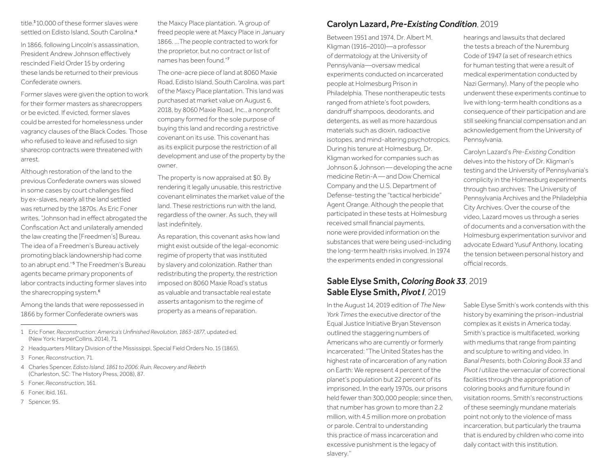title.<sup>3</sup>10,000 of these former slaves were settled on Edisto Island, South Carolina.<sup>4</sup>

In 1866, following Lincoln's assassination, President Andrew Johnson effectively rescinded Field Order 15 by ordering these lands be returned to their previous Confederate owners.

Former slaves were given the option to work for their former masters as sharecroppers or be evicted. If evicted, former slaves could be arrested for homelessness under vagrancy clauses of the Black Codes. Those who refused to leave and refused to sign sharecrop contracts were threatened with arrest.

Although restoration of the land to the previous Confederate owners was slowed in some cases by court challenges filed by ex-slaves, nearly all the land settled was returned by the 1870s. As Eric Foner writes, "Johnson had in effect abrogated the Confiscation Act and unilaterally amended the law creating the [Freedmen's] Bureau. The idea of a Freedmen's Bureau actively promoting black landownership had come to an abrupt end."<sup>5</sup> The Freedmen's Bureau agents became primary proponents of labor contracts inducting former slaves into the sharecropping system.<sup>6</sup>

Among the lands that were repossessed in 1866 by former Confederate owners was

the Maxcy Place plantation. "A group of freed people were at Maxcy Place in January 1866. ...The people contracted to work for the proprietor, but no contract or list of names has been found."<sup>7</sup>

The one-acre piece of land at 8060 Maxie Road, Edisto Island, South Carolina, was part of the Maxcy Place plantation. This land was purchased at market value on August 6, 2018, by 8060 Maxie Road, Inc., a nonprofit company formed for the sole purpose of buying this land and recording a restrictive covenant on its use. This covenant has as its explicit purpose the restriction of all development and use of the property by the owner.

The property is now appraised at \$0. By rendering it legally unusable, this restrictive covenant eliminates the market value of the land. These restrictions run with the land, regardless of the owner. As such, they will last indefinitely.

As reparation, this covenant asks how land might exist outside of the legal-economic regime of property that was instituted by slavery and colonization. Rather than redistributing the property, the restriction imposed on 8060 Maxie Road's status as valuable and transactable real estate asserts antagonism to the regime of property as a means of reparation.

- 2 Headquarters Military Division of the Mississippi, Special Field Orders No. 15 (1865).
- 3 Foner, *Reconstruction*, 71.
- 4 Charles Spencer, *Edisto Island, 1861 to 2006: Ruin, Recovery and Rebirth* (Charleston, SC: The History Press, 2008), 87.
- 5 Foner, *Reconstruction*, 161.
- 6 Foner, ibid, 161.
- 7 Spencer, 95.

### Carolyn Lazard, *Pre-Existing Condition*, 2019

Between 1951 and 1974, Dr. Albert M. Kligman (1916–2010)—a professor of dermatology at the University of Pennsylvania—oversaw medical experiments conducted on incarcerated people at Holmesburg Prison in Philadelphia. These nontherapeutic tests ranged from athlete's foot powders, dandruff shampoos, deodorants, and detergents, as well as more hazardous materials such as dioxin, radioactive isotopes, and mind-altering psychotropics. During his tenure at Holmesburg, Dr. Kligman worked for companies such as Johnson & Johnson—developing the acne medicine Retin-A—and Dow Chemical Company and the U.S. Department of Defense-testing the "tactical herbicide" Agent Orange. Although the people that participated in these tests at Holmesburg received small financial payments, none were provided information on the substances that were being used-including the long-term health risks involved. In 1974 the experiments ended in congressional

### Sable Elyse Smith, *Coloring Book 33*, 2019 Sable Elyse Smith, *Pivot I*, 2019

In the August 14, 2019 edition of *The New York Times* the executive director of the Equal Justice Initiative Bryan Stevenson outlined the staggering numbers of Americans who are currently or formerly incarcerated: "The United States has the highest rate of incarceration of any nation on Earth: We represent 4 percent of the planet's population but 22 percent of its imprisoned. In the early 1970s, our prisons held fewer than 300,000 people; since then, that number has grown to more than 2.2 million, with 4.5 million more on probation or parole. Central to understanding this practice of mass incarceration and excessive punishment is the legacy of slavery.''

hearings and lawsuits that declared the tests a breach of the Nuremburg Code of 1947 (a set of research ethics for human testing that were a result of medical experimentation conducted by Nazi Germany). Many of the people who underwent these experiments continue to live with long-term health conditions as a consequence of their participation and are still seeking financial compensation and an acknowledgement from the University of Pennsylvania.

Carolyn Lazard's *Pre-Existing Condition* delves into the history of Dr. Kligman's testing and the University of Pennsylvania's complicity in the Holmesburg experiments through two archives: The University of Pennsylvania Archives and the Philadelphia City Archives. Over the course of the video, Lazard moves us through a series of documents and a conversation with the Holmesburg experimentation survivor and advocate Edward Yusuf Anthony, locating the tension between personal history and official records.

Sable Elyse Smith's work contends with this history by examining the prison-industrial complex as it exists in America today. Smith's practice is multifaceted, working with mediums that range from painting and sculpture to writing and video. In *Banal Presents*, both *Coloring Book 33* and *Pivot I* utilize the vernacular of correctional facilities through the appropriation of coloring books and furniture found in visitation rooms. Smith's reconstructions of these seemingly mundane materials point not only to the violence of mass incarceration, but particularly the trauma that is endured by children who come into daily contact with this institution.

<sup>1</sup> Eric Foner, *Reconstruction: America's Unfinished Revolution, 1863-1877*, updated ed. (New York: HarperCollins, 2014), 71.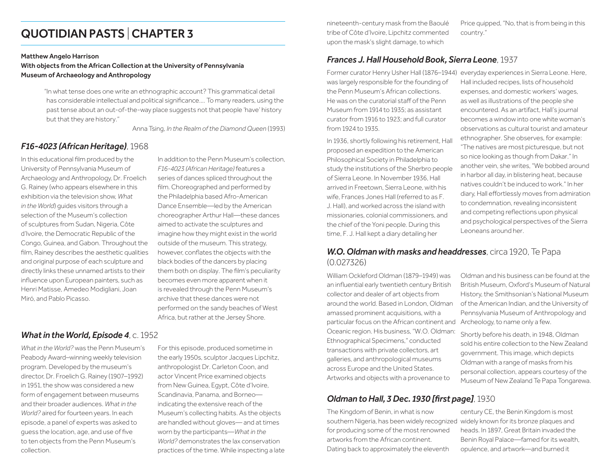# QUOTIDIAN PASTS |CHAPTER 3

#### Matthew Angelo Harrison

With objects from the African Collection at the University of Pennsylvania Museum of Archaeology and Anthropology

> "In what tense does one write an ethnographic account? This grammatical detail has considerable intellectual and political significance.... To many readers, using the past tense about an out-of-the-way place suggests not that people 'have' history but that they are history."

> > Anna Tsing, *In the Realm of the Diamond Queen* (1993)

### *F16-4023 (African Heritage)*, 1968

In this educational film produced by the University of Pennsylvania Museum of Archaeology and Anthropology, Dr. Froelich G. Rainey (who appears elsewhere in this exhibition via the television show, *What in the World*) guides visitors through a selection of the Museum's collection of sculptures from Sudan, Nigeria, Côte d'Ivoire, the Democratic Republic of the Congo, Guinea, and Gabon. Throughout the film, Rainey describes the aesthetic qualities and original purpose of each sculpture and directly links these unnamed artists to their influence upon European painters, such as Henri Matisse, Amedeo Modigliani, Joan Miró, and Pablo Picasso.

In addition to the Penn Museum's collection, *F16-4023 (African Heritage)* features a series of dances spliced throughout the film. Choreographed and performed by the Philadelphia based Afro-American Dance Ensemble—led by the American choreographer Arthur Hall—these dances aimed to activate the sculptures and imagine how they might exist in the world outside of the museum. This strategy, however, conflates the objects with the black bodies of the dancers by placing them both on display. The film's peculiarity becomes even more apparent when it is revealed through the Penn Museum's archive that these dances were not performed on the sandy beaches of West Africa, but rather at the Jersey Shore.

## *What in the World, Episode 4*, c. 1952

*What in the World?* was the Penn Museum's Peabody Award–winning weekly television program. Developed by the museum's director, Dr. Froelich G. Rainey (1907–1992) in 1951, the show was considered a new form of engagement between museums and their broader audiences. *What in the World?* aired for fourteen years. In each episode, a panel of experts was asked to guess the location, age, and use of five to ten objects from the Penn Museum's collection.

For this episode, produced sometime in the early 1950s, sculptor Jacques Lipchitz, anthropologist Dr. Carleton Coon, and actor Vincent Price examined objects from New Guinea, Egypt, Côte d'Ivoire, Scandinavia, Panama, and Borneo indicating the extensive reach of the Museum's collecting habits. As the objects are handled without gloves— and at times worn by the participants—*What in the World?* demonstrates the lax conservation practices of the time. While inspecting a late nineteenth-century mask from the Baoulé tribe of Côte d'Ivoire, Lipchitz commented upon the mask's slight damage, to which

Price quipped, "No, that is from being in this country."

### *Frances J. Hall Household Book, Sierra Leone*, 1937

was largely responsible for the founding of the Penn Museum's African collections. He was on the curatorial staff of the Penn Museum from 1914 to 1935; as assistant curator from 1916 to 1923; and full curator from 1924 to 1935.

In 1936, shortly following his retirement, Hall proposed an expedition to the American Philosophical Society in Philadelphia to study the institutions of the Sherbro people of Sierra Leone. In November 1936, Hall arrived in Freetown, Sierra Leone, with his wife, Frances Jones Hall (referred to as F. J. Hall), and worked across the island with missionaries, colonial commissioners, and the chief of the Yoni people. During this time, F. J. Hall kept a diary detailing her

Former curator Henry Usher Hall (1876–1944) everyday experiences in Sierra Leone. Here, Hall included recipes, lists of household expenses, and domestic workers' wages, as well as illustrations of the people she encountered. As an artifact, Hall's journal becomes a window into one white woman's observations as cultural tourist and amateur ethnographer. She observes, for example: "The natives are most picturesque, but not so nice looking as though from Dakar." In another vein, she writes, "We bobbed around in harbor all day, in blistering heat, because natives couldn't be induced to work." In her diary, Hall effortlessly moves from admiration to condemnation, revealing inconsistent and competing reflections upon physical and psychological perspectives of the Sierra Leoneans around her.

### *W.O. Oldman with masks and headdresses*, circa 1920, Te Papa (0.027326)

William Ockleford Oldman (1879–1949) was an influential early twentieth century British collector and dealer of art objects from around the world. Based in London, Oldman amassed prominent acquisitions, with a particular focus on the African continent and Archeology, to name only a few. Oceanic region. His business, "W.O. Oldman: Ethnographical Specimens," conducted transactions with private collectors, art galleries, and anthropological museums across Europe and the United States. Artworks and objects with a provenance to

## *Oldman to Hall, 3 Dec. 1930 [first page]*, 1930

The Kingdom of Benin, in what is now southern Nigeria, has been widely recognized widely known for its bronze plaques and for producing some of the most renowned artworks from the African continent. Dating back to approximately the eleventh

Oldman and his business can be found at the British Museum, Oxford's Museum of Natural History, the Smithsonian's National Museum of the American Indian, and the University of Pennsylvania Museum of Anthropology and

Shortly before his death, in 1948, Oldman sold his entire collection to the New Zealand government. This image, which depicts Oldman with a range of masks from his personal collection, appears courtesy of the Museum of New Zealand Te Papa Tongarewa.

century CE, the Benin Kingdom is most heads. In 1897, Great Britain invaded the Benin Royal Palace—famed for its wealth, opulence, and artwork—and burned it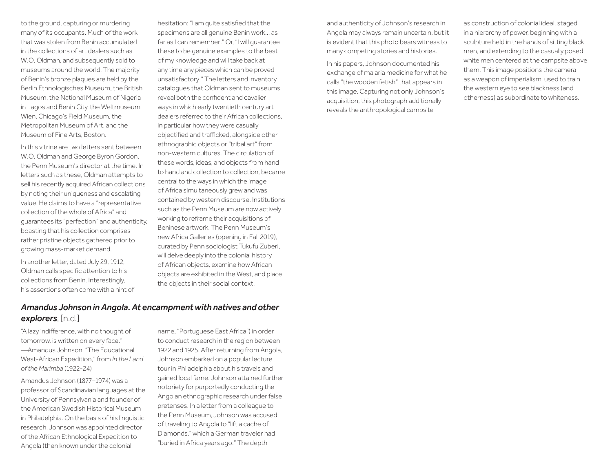to the ground, capturing or murdering many of its occupants. Much of the work that was stolen from Benin accumulated in the collections of art dealers such as W.O. Oldman, and subsequently sold to museums around the world. The majority of Benin's bronze plaques are held by the Berlin Ethnologisches Museum, the British Museum, the National Museum of Nigeria in Lagos and Benin City, the Weltmuseum Wien, Chicago's Field Museum, the Metropolitan Museum of Art, and the Museum of Fine Arts, Boston.

In this vitrine are two letters sent between W.O. Oldman and George Byron Gordon, the Penn Museum's director at the time. In letters such as these, Oldman attempts to sell his recently acquired African collections by noting their uniqueness and escalating value. He claims to have a "representative collection of the whole of Africa" and guarantees its "perfection" and authenticity, boasting that his collection comprises rather pristine objects gathered prior to growing mass-market demand.

In another letter, dated July 29, 1912, Oldman calls specific attention to his collections from Benin. Interestingly, his assertions often come with a hint of hesitation: "I am quite satisfied that the specimens are all genuine Benin work… as far as I can remember." Or, "I will guarantee these to be genuine examples to the best of my knowledge and will take back at any time any pieces which can be proved unsatisfactory." The letters and inventory catalogues that Oldman sent to museums reveal both the confident and cavalier ways in which early twentieth century art dealers referred to their African collections, in particular how they were casually objectified and trafficked, alongside other ethnographic objects or "tribal art" from non-western cultures. The circulation of these words, ideas, and objects from hand to hand and collection to collection, became central to the ways in which the image of Africa simultaneously grew and was contained by western discourse. Institutions such as the Penn Museum are now actively working to reframe their acquisitions of Beninese artwork. The Penn Museum's new Africa Galleries (opening in Fall 2019), curated by Penn sociologist Tukufu Zuberi, will delve deeply into the colonial history of African objects, examine how African objects are exhibited in the West, and place the objects in their social context.

## *Amandus Johnson in Angola. At encampment with natives and other explorers*, [n.d.]

"A lazy indifference, with no thought of tomorrow, is written on every face." —Amandus Johnson, "The Educational West-African Expedition," from *In the Land of the Marimba* (1922-24)

Amandus Johnson (1877–1974) was a professor of Scandinavian languages at the University of Pennsylvania and founder of the American Swedish Historical Museum in Philadelphia. On the basis of his linguistic research, Johnson was appointed director of the African Ethnological Expedition to Angola (then known under the colonial

name, "Portuguese East Africa") in order to conduct research in the region between 1922 and 1925. After returning from Angola, Johnson embarked on a popular lecture tour in Philadelphia about his travels and gained local fame. Johnson attained further notoriety for purportedly conducting the Angolan ethnographic research under false pretenses. In a letter from a colleague to the Penn Museum, Johnson was accused of traveling to Angola to "lift a cache of Diamonds," which a German traveler had "buried in Africa years ago." The depth

and authenticity of Johnson's research in Angola may always remain uncertain, but it is evident that this photo bears witness to many competing stories and histories.

In his papers, Johnson documented his exchange of malaria medicine for what he calls "the wooden fetish" that appears in this image. Capturing not only Johnson's acquisition, this photograph additionally reveals the anthropological campsite

as construction of colonial ideal, staged in a hierarchy of power, beginning with a sculpture held in the hands of sitting black men, and extending to the casually posed white men centered at the campsite above them. This image positions the camera as a weapon of imperialism, used to train the western eye to see blackness (and otherness) as subordinate to whiteness.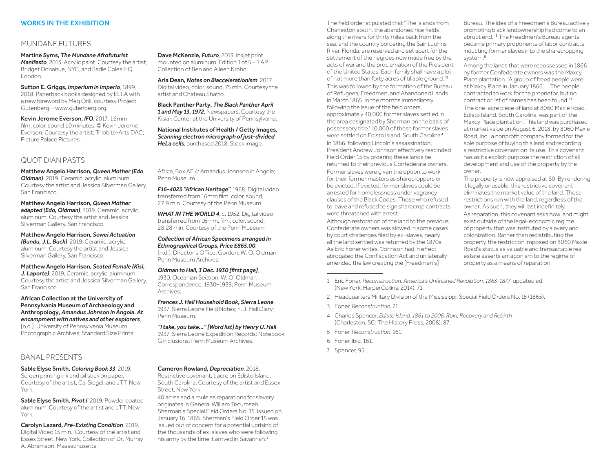#### WORKS IN THE EXHIBITION

#### MUNDANE FUTURES

Martine Syms*, The Mundane Afrofuturist Manifesto*, 2013. Acrylic paint. Courtesy the artist, Bridget Donahue, NYC, and Sadie Coles HQ, London.

Sutton E. Griggs*, Imperium in Imperio*, 1899, 2018. Paperback books designed by ELLA with a new foreword by Meg Onli, courtesy Project Gutenberg[—www.gutenberg.org.](www.gutenberg.org)

Kevin Jerome Everson*, IFO*, 2017. 16mm film, color, sound 10 minutes. © Kevin Jerome Everson. Courtesy the artist; Trilobite-Arts DAC; Picture Palace Pictures.

### QUOTIDIAN PASTS

Matthew Angelo Harrison*, Queen Mother (Edo*, *Oldman)*, 2019. Ceramic, acrylic, aluminum Courtesy the artist and Jessica Silverman Gallery, San Francisco.

Matthew Angelo Harrison*, Queen Mother adapted (Edo, Oldman),* 2019. Ceramic, acrylic, aluminum. Courtesy the artist and Jessica Silverman Gallery, San Francisco.

Matthew Angelo Harrison*, Sowei Actuation (Bundu, J.L. Buck)*, 2019. Ceramic, acrylic, aluminum. Courtesy the artist and Jessica Silverman Gallery, San Francisco.

Matthew Angelo Harrison*, Seated Female (Kisi, J. Laporte)*, 2019, Ceramic, acrylic, aluminum Courtesy the artist and Jessica Silverman Gallery, San Francisco.

African Collection at the University of Pennsylvania Museum of Archaeology and Anthropology*, Amandus Johnson in Angola. At encampment with natives and other explorers*, [n.d.]. University of Pennsylvania Museum Photographic Archives; Standard Size Prints;

#### BANAL PRESENTS

Sable Elyse Smith*, Coloring Book 33*, 2019, Screen printing ink and oil stick on paper, Courtesy of the artist, Cal Siegel, and JTT, New York.

Sable Elyse Smith*, Pivot I*, 2019, Powder coated aluminum, Courtesy of the artist and JTT, New York.

Carolyn Lazard*, Pre-Existing Condition*, 2019, Digital Video 15 min., Courtesy of the artist and Essex Street, New York, Collection of Dr. Murray A. Abramson, Massachusetts.

Dave McKenzie*, Futuro*, 2013. Inkjet print mounted on aluminum. Edition 1 of 5 + 1 AP. Collection of Ben and Aileen Krohn.

Aria Dean*, Notes on Blaccelerationism*, 2017. Digital video, color, sound, 75 min. Courtesy the artist and Chateau Shatto.

Black Panther Party*, The Black Panther April 1 and May 13, 1972*, Newspapers. Courtesy the Kislak Center at the University of Pennsylvania.

National Institutes of Health / Getty Images*, Scanning electron micrograph of just-divided HeLa cells*, purchased 2018. Stock image.

Africa, Box AF 4: Amandus Johnson in Angola; Penn Museum.

*F16-4023 "African Heritage"*, 1968, Digital video transferred from 16mm film, color, sound, 27:9 min. Courtesy of the Penn Museum.

*WHAT IN THE WORLD 4*, c. 1952. Digital video transferred from 16mm, film, color, sound, 28:28 min. Courtesy of the Penn Museum

*Collection of African Specimens arranged in Ethnographical Groups, Price £865.00*, [n.d.], Director's Office, Gordon; W. O. Oldman; Penn Museum Archives.

*Oldman to Hall, 3 Dec. 1930 [first page]*, 1930, Oceanian Section; W. O. Oldman Correspondence, 1930–1939; Penn Museum Archives.

*Frances J. Hall Household Book, Sierra Leone*, 1937, Sierra Leone Field Notes; F. J. Hall Diary; Penn Museum.

*"I take, you take…" [Word list] by Henry U. Hall*, 1937, Sierra Leone Expedition Records; Notebook G inclusions; Penn Museum Archives.

#### Cameron Rowland*, Depreciation*, 2018,

Restrictive covenant; 1 acre on Edisto Island, South Carolina. Courtesy of the artist and Essex Street, New York

40 acres and a mule as reparations for slavery originates in General William Tecumseh Sherman's Special Field Orders No. 15, issued on January 16, 1865. Sherman's Field Order 15 was issued out of concern for a potential uprising of the thousands of ex-slaves who were following his army by the time it arrived in Savannah.<sup>1</sup>

The field order stipulated that "The islands from Charleston south, the abandoned rice fields along the rivers for thirty miles back from the sea, and the country bordering the Saint Johns River, Florida, are reserved and set apart for the settlement of the negroes now made free by the acts of war and the proclamation of the President of the United States. Each family shall have a plot of not more than forty acres of tillable ground."<sup>2</sup> This was followed by the formation of the Bureau of Refugees, Freedmen, and Abandoned Lands in March 1865. In the months immediately following the issue of the field orders, approximately 40,000 former slaves settled in the area designated by Sherman on the basis of possessory title.<sup>3</sup> 10,000 of these former slaves were settled on Edisto Island, South Carolina.<sup>4</sup> In 1866, following Lincoln's assassination, President Andrew Johnson effectively rescinded Field Order 15 by ordering these lands be returned to their previous Confederate owners. Former slaves were given the option to work for their former masters as sharecroppers or be evicted. If evicted, former slaves could be arrested for homelessness under vagrancy clauses of the Black Codes. Those who refused to leave and refused to sign sharecrop contracts were threatened with arrest.

Although restoration of the land to the previous Confederate owners was slowed in some cases by court challenges filed by ex-slaves, nearly all the land settled was returned by the 1870s. As Eric Foner writes, "Johnson had in effect abrogated the Confiscation Act and unilaterally amended the law creating the [Freedmen's]

Bureau. The idea of a Freedmen's Bureau actively promoting black landownership had come to an abrupt end.''<sup>5</sup> The Freedmen's Bureau agents became primary proponents of labor contracts inducting former slaves into the sharecropping system.<sup>6</sup>

Among the lands that were repossessed in 1866 by former Confederate owners was the Maxcy Place plantation. "A group of freed people were at Maxcy Place in January 1866. ... The people contracted to work for the proprietor, but no contract or list of names has been found."<sup>7</sup> The one-acre piece of land at 8060 Maxie Road, Edisto Island, South Carolina, was part of the Maxcy Place plantation. This land was purchased at market value on August 6, 2018, by 8060 Maxie Road, Inc., a nonprofit company formed for the sole purpose of buying this land and recording a restrictive covenant on its use. This covenant has as its explicit purpose the restriction of all development and use of the property by the owner.

The property is now appraised at \$0. By rendering it legally unusable, this restrictive covenant eliminates the market value of the land. These restrictions run with the land, regardless of the owner. As such, they will last indefinitely.

As reparation, this covenant asks how land might exist outside of the legal-economic regime of property that was instituted by slavery and colonization. Rather than redistributing the property, the restriction imposed on 8060 Maxie Road's status as valuable and transactable real estate asserts antagonism to the regime of property as a means of reparation.

- 1 Eric Foner, *Reconstruction: America's Unfinished Revolution, 1863-1877*, updated ed. (New York: HarperCollins, 2014), 71.
- 2 Headquarters Military Division of the Mississippi, Special Field Orders No. 15 (1865).
- 3 Foner, *Reconstruction*, 71.
- 4 Charles Spencer, *Edisto Island, 1861 to 2006: Ruin, Recovery and Rebirth* (Charleston, SC: The History Press, 2008), 87.
- 5 Foner, *Reconstruction*, 161.
- 6 Foner, ibid, 161.
- 7 Spencer, 95.